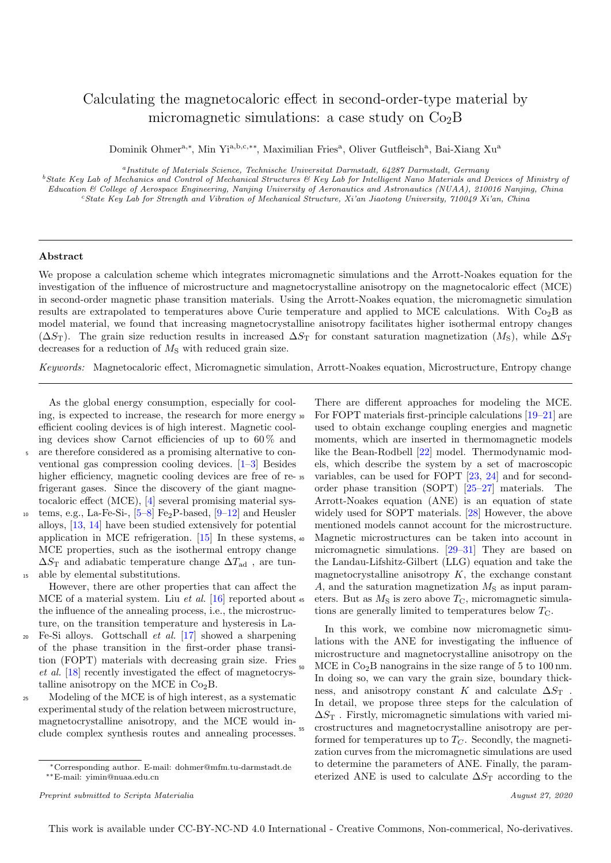# Calculating the magnetocaloric effect in second-order-type material by micromagnetic simulations: a case study on  $Co<sub>2</sub>B$

Dominik Ohmer<sup>a,∗</sup>, Min Yi<sup>a,b,c,</sup>\*\*, Maximilian Fries<sup>a</sup>, Oliver Gutfleisch<sup>a</sup>, Bai-Xiang Xu<sup>a</sup>

a Institute of Materials Science, Technische Universitat Darmstadt, 64287 Darmstadt, Germany

<sup>b</sup>State Key Lab of Mechanics and Control of Mechanical Structures & Key Lab for Intelligent Nano Materials and Devices of Ministry of Education & College of Aerospace Engineering, Nanjing University of Aeronautics and Astronautics (NUAA), 210016 Nanjing, China <sup>c</sup>State Key Lab for Strength and Vibration of Mechanical Structure, Xi'an Jiaotong University, 710049 Xi'an, China

## Abstract

We propose a calculation scheme which integrates micromagnetic simulations and the Arrott-Noakes equation for the investigation of the influence of microstructure and magnetocrystalline anisotropy on the magnetocaloric effect (MCE) in second-order magnetic phase transition materials. Using the Arrott-Noakes equation, the micromagnetic simulation results are extrapolated to temperatures above Curie temperature and applied to MCE calculations. With  $Co<sub>2</sub>B$  as model material, we found that increasing magnetocrystalline anisotropy facilitates higher isothermal entropy changes  $(\Delta S_T)$ . The grain size reduction results in increased  $\Delta S_T$  for constant saturation magnetization  $(M_S)$ , while  $\Delta S_T$ decreases for a reduction of  $M<sub>S</sub>$  with reduced grain size.

Keywords: Magnetocaloric effect, Micromagnetic simulation, Arrott-Noakes equation, Microstructure, Entropy change

As the global energy consumption, especially for cooling, is expected to increase, the research for more energy efficient cooling devices is of high interest. Magnetic cooling devices show Carnot efficiencies of up to  $60\%$  and are therefore considered as a promising alternative to conventional gas compression cooling devices. [\[1–](#page-4-0)[3\]](#page-4-1) Besides higher efficiency, magnetic cooling devices are free of re-  $35$ frigerant gases. Since the discovery of the giant magnetocaloric effect (MCE), [\[4\]](#page-4-2) several promising material sys-

tems, e.g., La-Fe-Si-,  $[5-8]$  $[5-8]$  Fe<sub>2</sub>P-based,  $[9-12]$  $[9-12]$  and Heusler alloys, [\[13,](#page-4-7) [14\]](#page-4-8) have been studied extensively for potential application in MCE refrigeration. [\[15\]](#page-4-9) In these systems, MCE properties, such as the isothermal entropy change  $\Delta S$ <sub>T</sub> and adiabatic temperature change  $\Delta T_{\text{ad}}$ , are tun-<sup>15</sup> able by elemental substitutions.

However, there are other properties that can affect the MCE of a material system. Liu et al.  $[16]$  reported about 45 the influence of the annealing process, i.e., the microstructure, on the transition temperature and hysteresis in La-Fe-Si alloys. Gottschall *et al.* [\[17\]](#page-4-11) showed a sharpening

- of the phase transition in the first-order phase transition (FOPT) materials with decreasing grain size. Fries et al. [\[18\]](#page-4-12) recently investigated the effect of magnetocrystalline anisotropy on the MCE in  $Co<sub>2</sub>B$ .
- <sup>25</sup> Modeling of the MCE is of high interest, as a systematic experimental study of the relation between microstructure, magnetocrystalline anisotropy, and the MCE would include complex synthesis routes and annealing processes.

There are different approaches for modeling the MCE. <sup>30</sup> For FOPT materials first-principle calculations [\[19–](#page-4-13)[21\]](#page-4-14) are used to obtain exchange coupling energies and magnetic moments, which are inserted in thermomagnetic models like the Bean-Rodbell [\[22\]](#page-4-15) model. Thermodynamic models, which describe the system by a set of macroscopic variables, can be used for FOPT  $[23, 24]$  $[23, 24]$  $[23, 24]$  and for secondorder phase transition (SOPT) [\[25–](#page-4-18)[27\]](#page-4-19) materials. The Arrott-Noakes equation (ANE) is an equation of state widely used for SOPT materials. [\[28\]](#page-4-20) However, the above mentioned models cannot account for the microstructure. <sup>40</sup> Magnetic microstructures can be taken into account in micromagnetic simulations. [\[29](#page-4-21)[–31\]](#page-4-22) They are based on the Landau-Lifshitz-Gilbert (LLG) equation and take the magnetocrystalline anisotropy  $K$ , the exchange constant  $A$ , and the saturation magnetization  $M<sub>S</sub>$  as input parameters. But as  $M<sub>S</sub>$  is zero above  $T<sub>C</sub>$ , micromagnetic simulations are generally limited to temperatures below  $T_{\rm C}$ .

In this work, we combine now micromagnetic simulations with the ANE for investigating the influence of microstructure and magnetocrystalline anisotropy on the  $MCE$  in  $Co<sub>2</sub>B$  nanograins in the size range of 5 to 100 nm. In doing so, we can vary the grain size, boundary thickness, and anisotropy constant K and calculate  $\Delta S_T$ . In detail, we propose three steps for the calculation of  $\Delta S_{\rm T}$ . Firstly, micromagnetic simulations with varied mi-<sup>55</sup> crostructures and magnetocrystalline anisotropy are performed for temperatures up to  $T<sub>C</sub>$ . Secondly, the magnetization curves from the micromagnetic simulations are used to determine the parameters of ANE. Finally, the parameterized ANE is used to calculate  $\Delta S_T$  according to the

<sup>∗</sup>Corresponding author. E-mail: dohmer@mfm.tu-darmstadt.de ∗∗E-mail: yimin@nuaa.edu.cn

Preprint submitted to Scripta Materialia  $August 27, 2020$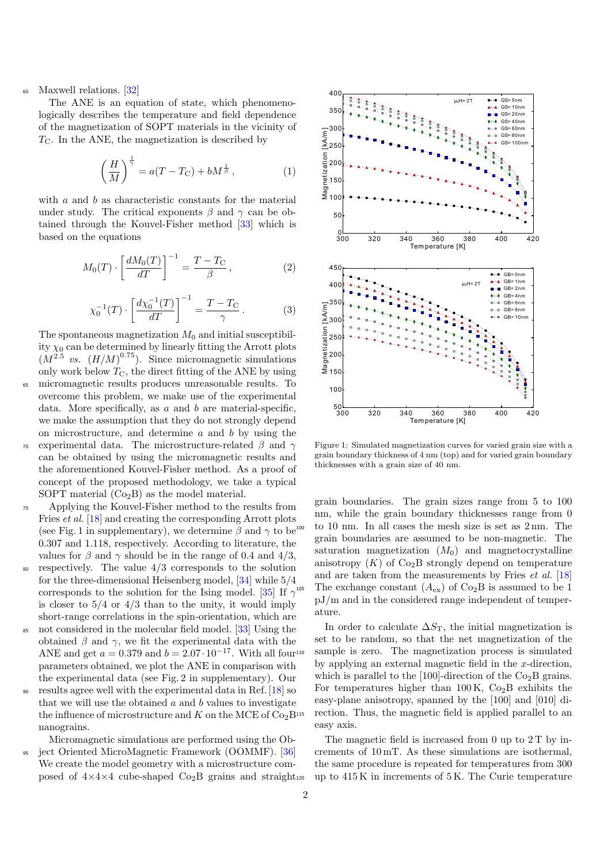### Maxwell relations. [\[32\]](#page-4-23)

The ANE is an equation of state, which phenomenologically describes the temperature and field dependence of the magnetization of SOPT materials in the vicinity of  $T_{\rm C}$ . In the ANE, the magnetization is described by

$$
\left(\frac{H}{M}\right)^{\frac{1}{\gamma}} = a(T - T_{\rm C}) + bM^{\frac{1}{\beta}}\,,\tag{1}
$$

with  $a$  and  $b$  as characteristic constants for the material under study. The critical exponents  $\beta$  and  $\gamma$  can be obtained through the Kouvel-Fisher method [\[33\]](#page-4-24) which is based on the equations

$$
M_0(T) \cdot \left[\frac{dM_0(T)}{dT}\right]^{-1} = \frac{T - T_C}{\beta},\tag{2}
$$

$$
\chi_0^{-1}(T) \cdot \left[ \frac{d\chi_0^{-1}(T)}{dT} \right]^{-1} = \frac{T - T_C}{\gamma} \,. \tag{3}
$$

The spontaneous magnetization  $M_0$  and initial susceptibility  $\chi_0$  can be determined by linearly fitting the Arrott plots  $(M^{2.5}$  vs.  $(H/M)^{0.75})$ . Since micromagnetic simulations only work below  $T_{\text{C}}$ , the direct fitting of the ANE by using micromagnetic results produces unreasonable results. To overcome this problem, we make use of the experimental data. More specifically, as  $a$  and  $b$  are material-specific, we make the assumption that they do not strongly depend on microstructure, and determine  $a$  and  $b$  by using the experimental data. The microstructure-related  $\beta$  and  $\gamma$ can be obtained by using the micromagnetic results and the aforementioned Kouvel-Fisher method. As a proof of concept of the proposed methodology, we take a typical

- SOPT material  $(Co<sub>2</sub>B)$  as the model material. <sup>75</sup> Applying the Kouvel-Fisher method to the results from Fries et al. [\[18\]](#page-4-12) and creating the corresponding Arrott plots (see Fig. 1 in supplementary), we determine  $\beta$  and  $\gamma$  to be 0.307 and 1.118, respectively. According to literature, the values for  $\beta$  and  $\gamma$  should be in the range of 0.4 and 4/3,
- respectively. The value  $4/3$  corresponds to the solution for the three-dimensional Heisenberg model, [\[34\]](#page-4-25) while 5/4 corresponds to the solution for the Ising model. [\[35\]](#page-4-26) If  $\gamma^{105}$ is closer to  $5/4$  or  $4/3$  than to the unity, it would imply short-range correlations in the spin-orientation, which are
- <sup>85</sup> not considered in the molecular field model. [\[33\]](#page-4-24) Using the obtained  $\beta$  and  $\gamma$ , we fit the experimental data with the ANE and get  $a = 0.379$  and  $b = 2.07 \cdot 10^{-17}$ . With all four<sup>110</sup> parameters obtained, we plot the ANE in comparison with the experimental data (see Fig. 2 in supplementary). Our
- <sup>90</sup> results agree well with the experimental data in Ref. [\[18\]](#page-4-12) so that we will use the obtained  $a$  and  $b$  values to investigate the influence of microstructure and K on the MCE of  $Co<sub>2</sub>B<sup>115</sup>$ nanograins.

Micromagnetic simulations are performed using the Ob-

ject Oriented MicroMagnetic Framework (OOMMF). [\[36\]](#page-4-27) We create the model geometry with a microstructure composed of  $4 \times 4 \times 4$  cube-shaped  $Co_2B$  grains and straight<sub>120</sub>

<span id="page-1-1"></span>

<span id="page-1-0"></span>Figure 1: Simulated magnetization curves for varied grain size with a grain boundary thickness of 4 nm (top) and for varied grain boundary thicknesses with a grain size of 40 nm.

grain boundaries. The grain sizes range from 5 to 100 nm, while the grain boundary thicknesses range from 0 to 10 nm. In all cases the mesh size is set as  $2 \text{ nm}$ . The grain boundaries are assumed to be non-magnetic. The saturation magnetization  $(M_0)$  and magnetocrystalline anisotropy  $(K)$  of Co<sub>2</sub>B strongly depend on temperature and are taken from the measurements by Fries  $et \ al.$  [\[18\]](#page-4-12) The exchange constant  $(A_{ex})$  of Co<sub>2</sub>B is assumed to be 1 pJ/m and in the considered range independent of temperature.

In order to calculate  $\Delta S_T$ , the initial magnetization is set to be random, so that the net magnetization of the sample is zero. The magnetization process is simulated by applying an external magnetic field in the x-direction, which is parallel to the  $[100]$ -direction of the Co<sub>2</sub>B grains. For temperatures higher than  $100 \text{ K}$ ,  $\text{Co}_2\text{B}$  exhibits the easy-plane anisotropy, spanned by the [100] and [010] direction. Thus, the magnetic field is applied parallel to an easy axis.

The magnetic field is increased from 0 up to  $2T$  by increments of 10 mT. As these simulations are isothermal, the same procedure is repeated for temperatures from 300 up to  $415 \text{ K}$  in increments of  $5 \text{ K}$ . The Curie temperature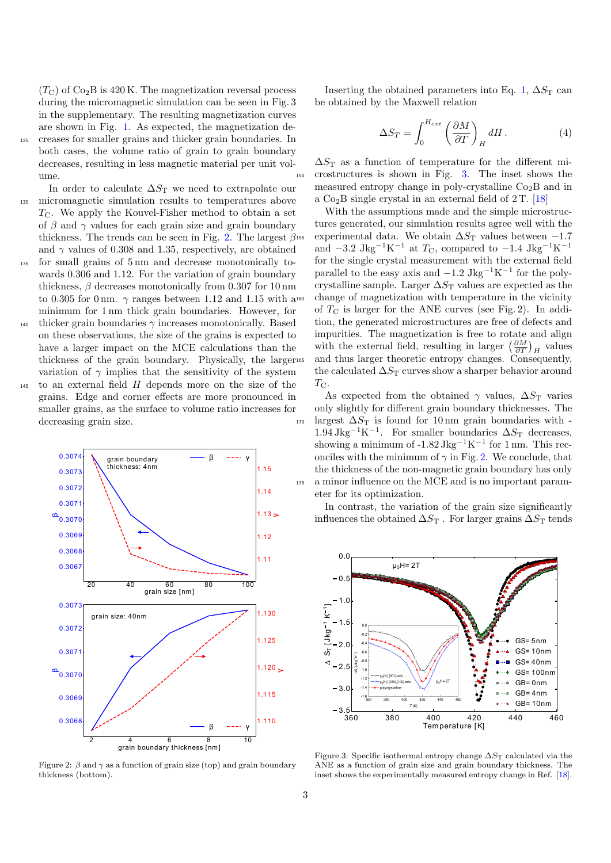$(T<sub>C</sub>)$  of Co<sub>2</sub>B is 420 K. The magnetization reversal process during the micromagnetic simulation can be seen in Fig. 3 in the supplementary. The resulting magnetization curves are shown in Fig. [1.](#page-1-0) As expected, the magnetization de-<sup>125</sup> creases for smaller grains and thicker grain boundaries. In both cases, the volume ratio of grain to grain boundary decreases, resulting in less magnetic material per unit volume.

In order to calculate  $\Delta S_T$  we need to extrapolate our <sup>130</sup> micromagnetic simulation results to temperatures above  $T_{\rm C}$ . We apply the Kouvel-Fisher method to obtain a set of  $\beta$  and  $\gamma$  values for each grain size and grain boundary thickness. The trends can be seen in Fig. [2.](#page-2-0) The largest  $\beta$ <sup>155</sup> and  $\gamma$  values of 0.308 and 1.35, respectively, are obtained

- <sup>135</sup> for small grains of 5 nm and decrease monotonically towards 0.306 and 1.12. For the variation of grain boundary thickness,  $\beta$  decreases monotonically from 0.307 for 10 nm to 0.305 for 0 nm.  $\gamma$  ranges between 1.12 and 1.15 with a minimum for 1 nm thick grain boundaries. However, for
- 140 thicker grain boundaries  $\gamma$  increases monotonically. Based on these observations, the size of the grains is expected to have a larger impact on the MCE calculations than the thickness of the grain boundary. Physically, the larger variation of  $\gamma$  implies that the sensitivity of the system
- $_{145}$  to an external field  $H$  depends more on the size of the grains. Edge and corner effects are more pronounced in smaller grains, as the surface to volume ratio increases for decreasing grain size.



<span id="page-2-0"></span>Figure 2:  $\beta$  and  $\gamma$  as a function of grain size (top) and grain boundary thickness (bottom).

Inserting the obtained parameters into Eq. [1,](#page-1-1)  $\Delta S_T$  can be obtained by the Maxwell relation

<span id="page-2-2"></span>
$$
\Delta S_T = \int_0^{H_{ext}} \left(\frac{\partial M}{\partial T}\right)_H dH.
$$
 (4)

 $\Delta S$ <sub>T</sub> as a function of temperature for the different mi-<sup>150</sup> crostructures is shown in Fig. [3.](#page-2-1) The inset shows the measured entropy change in poly-crystalline  $Co<sub>2</sub>B$  and in a  $Co<sub>2</sub>B$  single crystal in an external field of 2 T. [\[18\]](#page-4-12)

With the assumptions made and the simple microstructures generated, our simulation results agree well with the experimental data. We obtain  $\Delta S_T$  values between -1.7 and  $-3.2 \text{ Jkg}^{-1}\text{K}^{-1}$  at  $T_{\text{C}}$ , compared to  $-1.4 \text{ Jkg}^{-1}\text{K}^{-1}$ for the single crystal measurement with the external field parallel to the easy axis and  $-1.2 \text{ Jkg}^{-1}\text{K}^{-1}$  for the polycrystalline sample. Larger  $\Delta S_T$  values are expected as the change of magnetization with temperature in the vicinity of  $T_{\rm C}$  is larger for the ANE curves (see Fig. 2). In addition, the generated microstructures are free of defects and impurities. The magnetization is free to rotate and align with the external field, resulting in larger  $\left(\frac{\partial M}{\partial T}\right)_H$  values and thus larger theoretic entropy changes. Consequently, the calculated  $\Delta S_T$  curves show a sharper behavior around  $T_{\rm C}$ .

As expected from the obtained  $\gamma$  values,  $\Delta S_T$  varies only slightly for different grain boundary thicknesses. The  $_{170}$  largest  $\Delta S_T$  is found for 10 nm grain boundaries with -1.94 Jkg<sup>-1</sup>K<sup>-1</sup>. For smaller boundaries  $\Delta S_T$  decreases, showing a minimum of  $-1.82 \text{ Jkg}^{-1}\text{K}^{-1}$  for 1 nm. This reconciles with the minimum of  $\gamma$  in Fig. [2.](#page-2-0) We conclude, that the thickness of the non-magnetic grain boundary has only <sup>175</sup> a minor influence on the MCE and is no important parameter for its optimization.

In contrast, the variation of the grain size significantly influences the obtained  $\Delta S_T$ . For larger grains  $\Delta S_T$  tends



<span id="page-2-1"></span>Figure 3: Specific isothermal entropy change  $\Delta S_T$  calculated via the ANE as a function of grain size and grain boundary thickness. The inset shows the experimentally measured entropy change in Ref. [\[18\]](#page-4-12).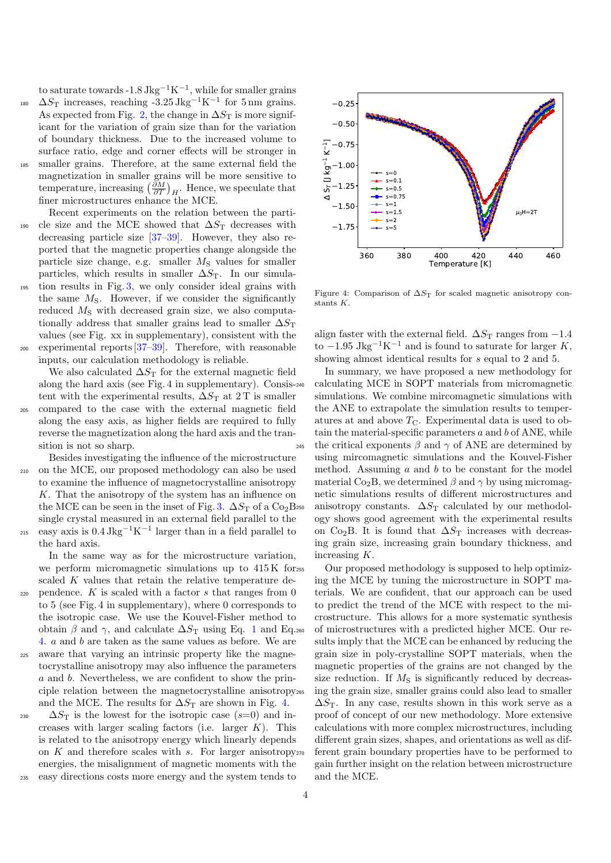to saturate towards  $-1.8 \text{ Jkg}^{-1}\text{K}^{-1}$ , while for smaller grains <sup>180</sup>  $\Delta S_T$  increases, reaching -3.25 Jkg<sup>-1</sup>K<sup>-1</sup> for 5 nm grains.

- As expected from Fig. [2,](#page-2-0) the change in  $\Delta S_T$  is more significant for the variation of grain size than for the variation of boundary thickness. Due to the increased volume to surface ratio, edge and corner effects will be stronger in <sup>185</sup> smaller grains. Therefore, at the same external field the magnetization in smaller grains will be more sensitive to temperature, increasing  $\left(\frac{\partial M}{\partial T}\right)_H$ . Hence, we speculate that finer microstructures enhance the MCE.
- Recent experiments on the relation between the parti- $190$  cle size and the MCE showed that  $\Delta S_T$  decreases with decreasing particle size [\[37–](#page-4-28)[39\]](#page-4-29). However, they also reported that the magnetic properties change alongside the particle size change, e.g. smaller  $M<sub>S</sub>$  values for smaller particles, which results in smaller  $\Delta S_T$ . In our simula-<sup>195</sup> tion results in Fig. [3,](#page-2-1) we only consider ideal grains with the same  $M<sub>S</sub>$ . However, if we consider the significantly reduced  $M<sub>S</sub>$  with decreased grain size, we also computationally address that smaller grains lead to smaller  $\Delta S_T$
- values (see Fig. xx in supplementary), consistent with the  $200$  experimental reports  $[37-39]$  $[37-39]$ . Therefore, with reasonable inputs, our calculation methodology is reliable.

We also calculated  $\Delta S_T$  for the external magnetic field along the hard axis (see Fig. 4 in supplementary). Consistent with the experimental results,  $\Delta S_T$  at 2 T is smaller

<sup>205</sup> compared to the case with the external magnetic field along the easy axis, as higher fields are required to fully reverse the magnetization along the hard axis and the transition is not so sharp.

Besides investigating the influence of the microstructure <sup>210</sup> on the MCE, our proposed methodology can also be used to examine the influence of magnetocrystalline anisotropy K. That the anisotropy of the system has an influence on the MCE can be seen in the inset of Fig. [3.](#page-2-1)  $\Delta S$ <sub>T</sub> of a Co<sub>2</sub>B<sub>250</sub> single crystal measured in an external field parallel to the  $_{215}$  easy axis is 0.4 Jkg<sup>-1</sup>K<sup>-1</sup> larger than in a field parallel to the hard axis.

In the same way as for the microstructure variation, we perform micromagnetic simulations up to  $415\,\mathrm{K}$  for<sub>255</sub> scaled K values that retain the relative temperature de-220 pendence. K is scaled with a factor s that ranges from  $0$ to 5 (see Fig. 4 in supplementary), where 0 corresponds to the isotropic case. We use the Kouvel-Fisher method to obtain  $\beta$  and  $\gamma$ , and calculate  $\Delta S_T$  using Eq. [1](#page-1-1) and Eq. 260 [4.](#page-2-2) a and b are taken as the same values as before. We are <sup>225</sup> aware that varying an intrinsic property like the magnetocrystalline anisotropy may also influence the parameters a and b. Nevertheless, we are confident to show the principle relation between the magnetocrystalline anisotropy

and the MCE. The results for  $\Delta S_T$  are shown in Fig. [4.](#page-3-0) 230  $\Delta S_{\rm T}$  is the lowest for the isotropic case (s=0) and increases with larger scaling factors (i.e. larger  $K$ ). This is related to the anisotropy energy which linearly depends on  $K$  and therefore scales with  $s$ . For larger anisotropy<sub>270</sub> energies, the misalignment of magnetic moments with the <sup>235</sup> easy directions costs more energy and the system tends to



<span id="page-3-0"></span>Figure 4: Comparison of  $\Delta S_T$  for scaled magnetic anisotropy constants K.

align faster with the external field.  $\Delta S_T$  ranges from  $-1.4$ to  $-1.95 \text{ Jkg}^{-1}\text{K}^{-1}$  and is found to saturate for larger K, showing almost identical results for s equal to 2 and 5.

In summary, we have proposed a new methodology for calculating MCE in SOPT materials from micromagnetic simulations. We combine mircomagnetic simulations with the ANE to extrapolate the simulation results to temperatures at and above  $T_{\rm C}$ . Experimental data is used to obtain the material-specific parameters  $a$  and  $b$  of ANE, while the critical exponents  $\beta$  and  $\gamma$  of ANE are determined by using mircomagnetic simulations and the Kouvel-Fisher method. Assuming  $a$  and  $b$  to be constant for the model material Co<sub>2</sub>B, we determined  $\beta$  and  $\gamma$  by using micromagnetic simulations results of different microstructures and anisotropy constants.  $\Delta S_T$  calculated by our methodology shows good agreement with the experimental results on Co<sub>2</sub>B. It is found that  $\Delta S_T$  increases with decreasing grain size, increasing grain boundary thickness, and increasing K.

Our proposed methodology is supposed to help optimizing the MCE by tuning the microstructure in SOPT materials. We are confident, that our approach can be used to predict the trend of the MCE with respect to the microstructure. This allows for a more systematic synthesis of microstructures with a predicted higher MCE. Our results imply that the MCE can be enhanced by reducing the grain size in poly-crystalline SOPT materials, when the magnetic properties of the grains are not changed by the size reduction. If  $M<sub>S</sub>$  is significantly reduced by decreasing the grain size, smaller grains could also lead to smaller  $\Delta S$ T. In any case, results shown in this work serve as a proof of concept of our new methodology. More extensive calculations with more complex microstructures, including different grain sizes, shapes, and orientations as well as different grain boundary properties have to be performed to gain further insight on the relation between microstructure and the MCE.